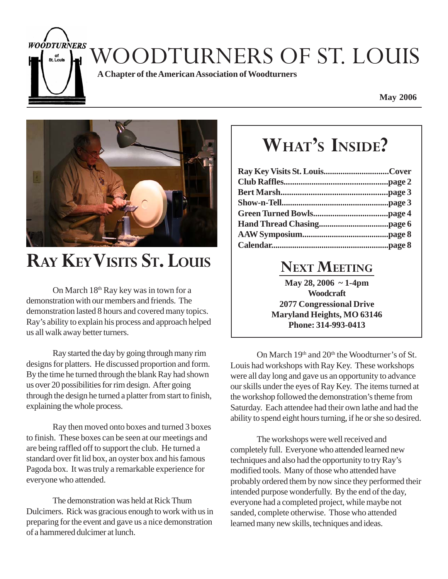WOODTURNERS OF ST. LOUIS

**A Chapter of the American Association of Woodturners**

**May 2006**



**WOODTURNERS** of<br>St. Louis

### **RAY KEY VISITS ST. LOUIS**

On March 18<sup>th</sup> Ray key was in town for a demonstration with our members and friends. The demonstration lasted 8 hours and covered many topics. Ray's ability to explain his process and approach helped us all walk away better turners.

Ray started the day by going through many rim designs for platters. He discussed proportion and form. By the time he turned through the blank Ray had shown us over 20 possibilities for rim design. After going through the design he turned a platter from start to finish, explaining the whole process.

Ray then moved onto boxes and turned 3 boxes to finish. These boxes can be seen at our meetings and are being raffled off to support the club. He turned a standard over fit lid box, an oyster box and his famous Pagoda box. It was truly a remarkable experience for everyone who attended.

The demonstration was held at Rick Thum Dulcimers. Rick was gracious enough to work with us in preparing for the event and gave us a nice demonstration of a hammered dulcimer at lunch.

# **WHAT'S INSIDE?**

#### **NEXT MEETING**

**May 28, 2006 ~ 1-4pm Woodcraft 2077 Congressional Drive Maryland Heights, MO 63146 Phone: 314-993-0413**

On March  $19<sup>th</sup>$  and  $20<sup>th</sup>$  the Woodturner's of St. Louis had workshops with Ray Key. These workshops were all day long and gave us an opportunity to advance our skills under the eyes of Ray Key. The items turned at the workshop followed the demonstration's theme from Saturday. Each attendee had their own lathe and had the ability to spend eight hours turning, if he or she so desired.

The workshops were well received and completely full. Everyone who attended learned new techniques and also had the opportunity to try Ray's modified tools. Many of those who attended have probably ordered them by now since they performed their intended purpose wonderfully. By the end of the day, everyone had a completed project, while maybe not sanded, complete otherwise. Those who attended learned many new skills, techniques and ideas.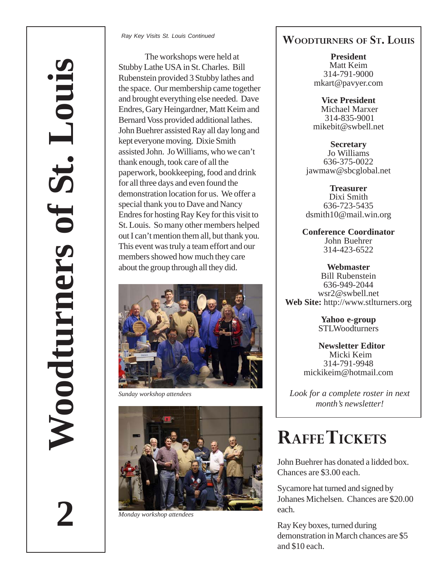**2**

*Ray Key Visits St. Louis Continued*

The workshops were held at Stubby Lathe USA in St. Charles. Bill Rubenstein provided 3 Stubby lathes and the space. Our membership came together and brought everything else needed. Dave Endres, Gary Heingardner, Matt Keim and Bernard Voss provided additional lathes. John Buehrer assisted Ray all day long and kept everyone moving. Dixie Smith assisted John. Jo Williams, who we can't thank enough, took care of all the paperwork, bookkeeping, food and drink for all three days and even found the demonstration location for us. We offer a special thank you to Dave and Nancy Endres for hosting Ray Key for this visit to St. Louis. So many other members helped out I can't mention them all, but thank you. This event was truly a team effort and our members showed how much they care about the group through all they did.



*Sunday workshop attendees*



*Monday workshop attendees*

#### **WOODTURNERS OF ST. LOUIS**

**President** Matt Keim 314-791-9000 mkart@pavyer.com

**Vice President** Michael Marxer 314-835-9001 mikebit@swbell.net

**Secretary** Jo Williams 636-375-0022 jawmaw@sbcglobal.net

**Treasurer** Dixi Smith 636-723-5435 dsmith10@mail.win.org

**Conference Coordinator** John Buehrer 314-423-6522

**Webmaster** Bill Rubenstein 636-949-2044 wsr2@swbell.net **Web Site:** http://www.stlturners.org

> **Yahoo e-group STLWoodturners**

 **Newsletter Editor** Micki Keim 314-791-9948 mickikeim@hotmail.com

*Look for a complete roster in next month's newsletter!*

### **RAFFE TICKETS**

John Buehrer has donated a lidded box. Chances are \$3.00 each.

Sycamore hat turned and signed by Johanes Michelsen. Chances are \$20.00 each.

Ray Key boxes, turned during demonstration in March chances are \$5 and \$10 each.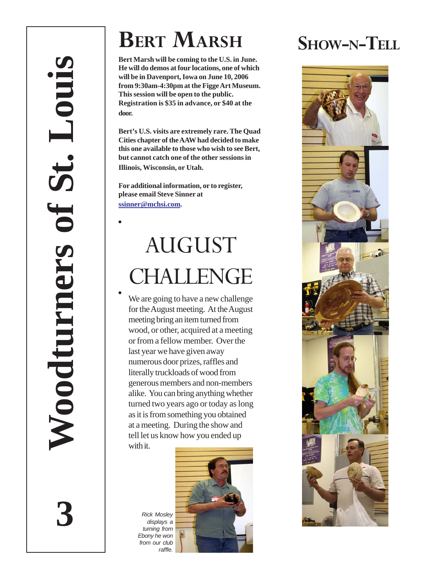# **BERT MARSH**

**Bert Marsh will be coming to the U.S. in June. He will do demos at four locations, one of which will be in Davenport, Iowa on June 10, 2006 from 9:30am-4:30pm at the Figge Art Museum. This session will be open to the public. Registration is \$35 in advance, or \$40 at the door.**

**Bert's U.S. visits are extremely rare. The Quad Cities chapter of the AAW had decided to make this one available to those who wish to see Bert, but cannot catch one of the other sessions in Illinois, Wisconsin, or Utah.**

**For additional information, or to register, please email Steve Sinner at ssinner@mchsi.com .**

# AUGUST CHALLENGE

We are going to have a new challenge for the August meeting. At the August meeting bring an item turned from wood, or other, acquired at a meeting or from a fellow member. Over the last year we have given away numerous door prizes, raffles and literally truckloads of wood from generous members and non-members alike. You can bring anything whether turned two years ago or today as long as it is from something you obtained at a meeting. During the show and tell let us know how you ended up with it.

**3**



SHOW-N-TELL

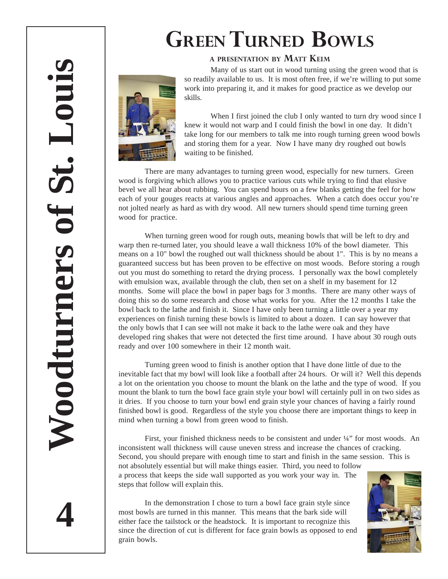# **GREEN TURNED BOWLS**

#### **<sup>A</sup> PRESENTATION BY MATT KEIM**

Many of us start out in wood turning using the green wood that is so readily available to us. It is most often free, if we're willing to put some work into preparing it, and it makes for good practice as we develop our skills.

When I first joined the club I only wanted to turn dry wood since I knew it would not warp and I could finish the bowl in one day. It didn't take long for our members to talk me into rough turning green wood bowls and storing them for a year. Now I have many dry roughed out bowls waiting to be finished.

There are many advantages to turning green wood, especially for new turners. Green wood is forgiving which allows you to practice various cuts while trying to find that elusive bevel we all hear about rubbing. You can spend hours on a few blanks getting the feel for how each of your gouges reacts at various angles and approaches. When a catch does occur you're not jolted nearly as hard as with dry wood. All new turners should spend time turning green wood for practice.

When turning green wood for rough outs, meaning bowls that will be left to dry and warp then re-turned later, you should leave a wall thickness 10% of the bowl diameter. This means on a 10" bowl the roughed out wall thickness should be about 1". This is by no means a guaranteed success but has been proven to be effective on most woods. Before storing a rough out you must do something to retard the drying process. I personally wax the bowl completely with emulsion wax, available through the club, then set on a shelf in my basement for 12 months. Some will place the bowl in paper bags for 3 months. There are many other ways of doing this so do some research and chose what works for you. After the 12 months I take the bowl back to the lathe and finish it. Since I have only been turning a little over a year my experiences on finish turning these bowls is limited to about a dozen. I can say however that the only bowls that I can see will not make it back to the lathe were oak and they have developed ring shakes that were not detected the first time around. I have about 30 rough outs ready and over 100 somewhere in their 12 month wait.

Turning green wood to finish is another option that I have done little of due to the inevitable fact that my bowl will look like a football after 24 hours. Or will it? Well this depends a lot on the orientation you choose to mount the blank on the lathe and the type of wood. If you mount the blank to turn the bowl face grain style your bowl will certainly pull in on two sides as it dries. If you choose to turn your bowl end grain style your chances of having a fairly round finished bowl is good. Regardless of the style you choose there are important things to keep in mind when turning a bowl from green wood to finish.

First, your finished thickness needs to be consistent and under ¼" for most woods. An inconsistent wall thickness will cause uneven stress and increase the chances of cracking. Second, you should prepare with enough time to start and finish in the same session. This is not absolutely essential but will make things easier. Third, you need to follow a process that keeps the side wall supported as you work your way in. The steps that follow will explain this.

In the demonstration I chose to turn a bowl face grain style since most bowls are turned in this manner. This means that the bark side will either face the tailstock or the headstock. It is important to recognize this since the direction of cut is different for face grain bowls as opposed to end grain bowls.



**4**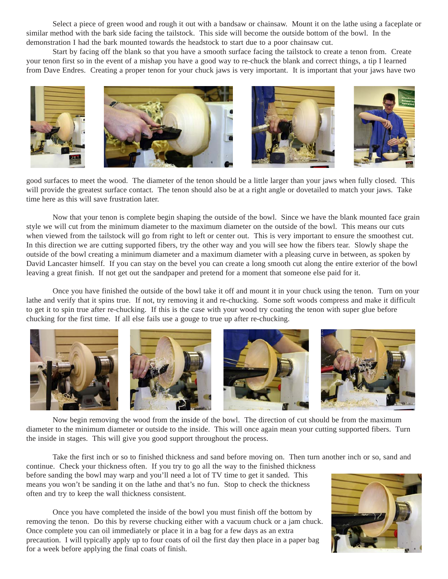Select a piece of green wood and rough it out with a bandsaw or chainsaw. Mount it on the lathe using a faceplate or similar method with the bark side facing the tailstock. This side will become the outside bottom of the bowl. In the demonstration I had the bark mounted towards the headstock to start due to a poor chainsaw cut.

Start by facing off the blank so that you have a smooth surface facing the tailstock to create a tenon from. Create your tenon first so in the event of a mishap you have a good way to re-chuck the blank and correct things, a tip I learned from Dave Endres. Creating a proper tenon for your chuck jaws is very important. It is important that your jaws have two



good surfaces to meet the wood. The diameter of the tenon should be a little larger than your jaws when fully closed. This will provide the greatest surface contact. The tenon should also be at a right angle or dovetailed to match your jaws. Take time here as this will save frustration later.

Now that your tenon is complete begin shaping the outside of the bowl. Since we have the blank mounted face grain style we will cut from the minimum diameter to the maximum diameter on the outside of the bowl. This means our cuts when viewed from the tailstock will go from right to left or center out. This is very important to ensure the smoothest cut. In this direction we are cutting supported fibers, try the other way and you will see how the fibers tear. Slowly shape the outside of the bowl creating a minimum diameter and a maximum diameter with a pleasing curve in between, as spoken by David Lancaster himself. If you can stay on the bevel you can create a long smooth cut along the entire exterior of the bowl leaving a great finish. If not get out the sandpaper and pretend for a moment that someone else paid for it.

Once you have finished the outside of the bowl take it off and mount it in your chuck using the tenon. Turn on your lathe and verify that it spins true. If not, try removing it and re-chucking. Some soft woods compress and make it difficult to get it to spin true after re-chucking. If this is the case with your wood try coating the tenon with super glue before chucking for the first time. If all else fails use a gouge to true up after re-chucking.



Now begin removing the wood from the inside of the bowl. The direction of cut should be from the maximum diameter to the minimum diameter or outside to the inside. This will once again mean your cutting supported fibers. Turn the inside in stages. This will give you good support throughout the process.

Take the first inch or so to finished thickness and sand before moving on. Then turn another inch or so, sand and

continue. Check your thickness often. If you try to go all the way to the finished thickness before sanding the bowl may warp and you'll need a lot of TV time to get it sanded. This means you won't be sanding it on the lathe and that's no fun. Stop to check the thickness often and try to keep the wall thickness consistent.

Once you have completed the inside of the bowl you must finish off the bottom by removing the tenon. Do this by reverse chucking either with a vacuum chuck or a jam chuck. Once complete you can oil immediately or place it in a bag for a few days as an extra precaution. I will typically apply up to four coats of oil the first day then place in a paper bag for a week before applying the final coats of finish.

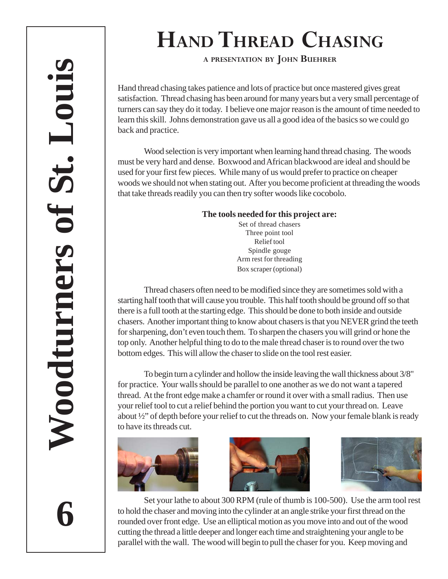# **HAND THREAD CHASING**

**<sup>A</sup> PRESENTATION BY JOHN BUEHRER**

Hand thread chasing takes patience and lots of practice but once mastered gives great satisfaction. Thread chasing has been around for many years but a very small percentage of turners can say they do it today. I believe one major reason is the amount of time needed to learn this skill. Johns demonstration gave us all a good idea of the basics so we could go back and practice.

Wood selection is very important when learning hand thread chasing. The woods must be very hard and dense. Boxwood and African blackwood are ideal and should be used for your first few pieces. While many of us would prefer to practice on cheaper woods we should not when stating out. After you become proficient at threading the woods that take threads readily you can then try softer woods like cocobolo.

#### **The tools needed for this project are:**

Set of thread chasers Three point tool Relief tool Spindle gouge Arm rest for threading Box scraper (optional)

Thread chasers often need to be modified since they are sometimes sold with a starting half tooth that will cause you trouble. This half tooth should be ground off so that there is a full tooth at the starting edge. This should be done to both inside and outside chasers. Another important thing to know about chasers is that you NEVER grind the teeth for sharpening, don't even touch them. To sharpen the chasers you will grind or hone the top only. Another helpful thing to do to the male thread chaser is to round over the two bottom edges. This will allow the chaser to slide on the tool rest easier.

To begin turn a cylinder and hollow the inside leaving the wall thickness about 3/8" for practice. Your walls should be parallel to one another as we do not want a tapered thread. At the front edge make a chamfer or round it over with a small radius. Then use your relief tool to cut a relief behind the portion you want to cut your thread on. Leave about ½" of depth before your relief to cut the threads on. Now your female blank is ready to have its threads cut.







Set your lathe to about 300 RPM (rule of thumb is 100-500). Use the arm tool rest to hold the chaser and moving into the cylinder at an angle strike your first thread on the rounded over front edge. Use an elliptical motion as you move into and out of the wood cutting the thread a little deeper and longer each time and straightening your angle to be parallel with the wall. The wood will begin to pull the chaser for you. Keep moving and

**6**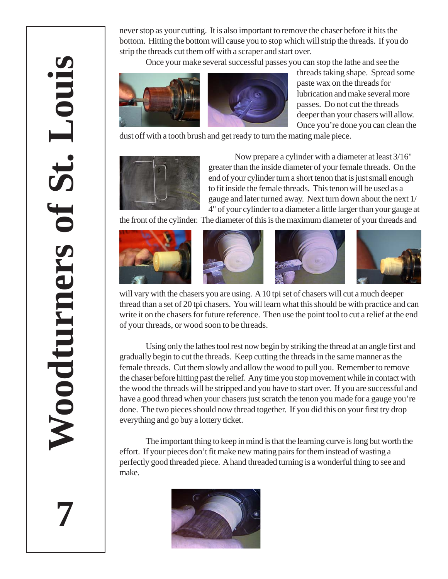**7**

never stop as your cutting. It is also important to remove the chaser before it hits the bottom. Hitting the bottom will cause you to stop which will strip the threads. If you do strip the threads cut them off with a scraper and start over.

Once your make several successful passes you can stop the lathe and see the



threads taking shape. Spread some paste wax on the threads for lubrication and make several more passes. Do not cut the threads deeper than your chasers will allow. Once you're done you can clean the

dust off with a tooth brush and get ready to turn the mating male piece.



Now prepare a cylinder with a diameter at least 3/16" greater than the inside diameter of your female threads. On the end of your cylinder turn a short tenon that is just small enough to fit inside the female threads. This tenon will be used as a gauge and later turned away. Next turn down about the next 1/ 4" of your cylinder to a diameter a little larger than your gauge at

the front of the cylinder. The diameter of this is the maximum diameter of your threads and









will vary with the chasers you are using. A 10 tpi set of chasers will cut a much deeper thread than a set of 20 tpi chasers. You will learn what this should be with practice and can write it on the chasers for future reference. Then use the point tool to cut a relief at the end of your threads, or wood soon to be threads.

Using only the lathes tool rest now begin by striking the thread at an angle first and gradually begin to cut the threads. Keep cutting the threads in the same manner as the female threads. Cut them slowly and allow the wood to pull you. Remember to remove the chaser before hitting past the relief. Any time you stop movement while in contact with the wood the threads will be stripped and you have to start over. If you are successful and have a good thread when your chasers just scratch the tenon you made for a gauge you're done. The two pieces should now thread together. If you did this on your first try drop everything and go buy a lottery ticket.

The important thing to keep in mind is that the learning curve is long but worth the effort. If your pieces don't fit make new mating pairs for them instead of wasting a perfectly good threaded piece. A hand threaded turning is a wonderful thing to see and make.